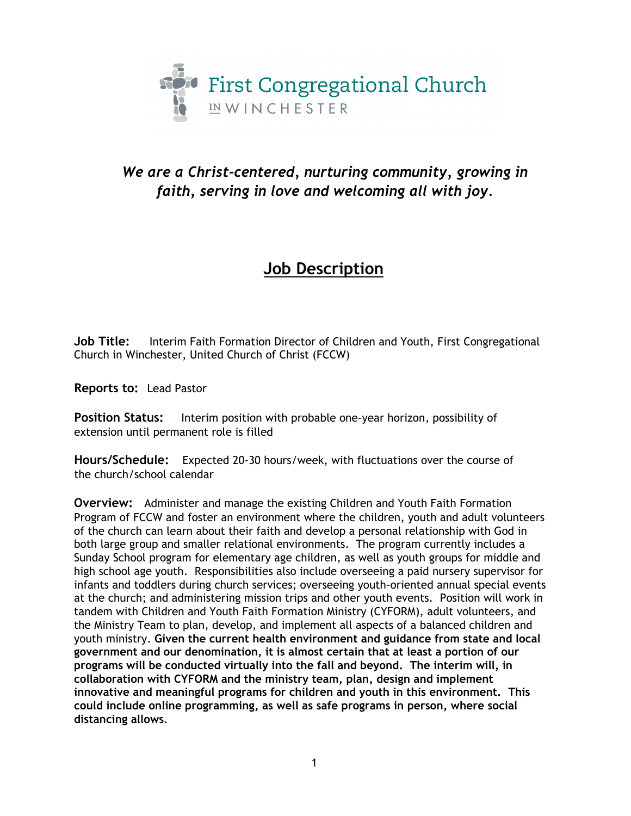

## *We are a Christ-centered, nurturing community, growing in faith, serving in love and welcoming all with joy.*

# **Job Description**

**Job Title:** Interim Faith Formation Director of Children and Youth, First Congregational Church in Winchester, United Church of Christ (FCCW)

**Reports to:** Lead Pastor

**Position Status:** Interim position with probable one-year horizon, possibility of extension until permanent role is filled

**Hours/Schedule:** Expected 20-30 hours/week, with fluctuations over the course of the church/school calendar

**Overview:** Administer and manage the existing Children and Youth Faith Formation Program of FCCW and foster an environment where the children, youth and adult volunteers of the church can learn about their faith and develop a personal relationship with God in both large group and smaller relational environments. The program currently includes a Sunday School program for elementary age children, as well as youth groups for middle and high school age youth. Responsibilities also include overseeing a paid nursery supervisor for infants and toddlers during church services; overseeing youth-oriented annual special events at the church; and administering mission trips and other youth events. Position will work in tandem with Children and Youth Faith Formation Ministry (CYFORM), adult volunteers, and the Ministry Team to plan, develop, and implement all aspects of a balanced children and youth ministry. **Given the current health environment and guidance from state and local government and our denomination, it is almost certain that at least a portion of our programs will be conducted virtually into the fall and beyond. The interim will, in collaboration with CYFORM and the ministry team, plan, design and implement innovative and meaningful programs for children and youth in this environment. This could include online programming, as well as safe programs in person, where social distancing allows**.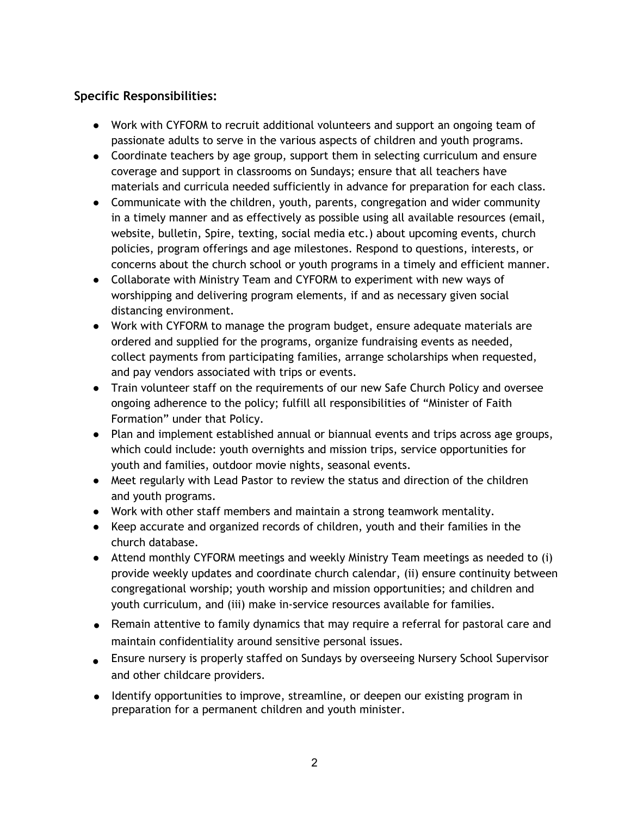### **Specific Responsibilities:**

- Work with CYFORM to recruit additional volunteers and support an ongoing team of passionate adults to serve in the various aspects of children and youth programs.
- Coordinate teachers by age group, support them in selecting curriculum and ensure coverage and support in classrooms on Sundays; ensure that all teachers have materials and curricula needed sufficiently in advance for preparation for each class.
- Communicate with the children, youth, parents, congregation and wider community in a timely manner and as effectively as possible using all available resources (email, website, bulletin, Spire, texting, social media etc.) about upcoming events, church policies, program offerings and age milestones. Respond to questions, interests, or concerns about the church school or youth programs in a timely and efficient manner.
- Collaborate with Ministry Team and CYFORM to experiment with new ways of worshipping and delivering program elements, if and as necessary given social distancing environment.
- Work with CYFORM to manage the program budget, ensure adequate materials are ordered and supplied for the programs, organize fundraising events as needed, collect payments from participating families, arrange scholarships when requested, and pay vendors associated with trips or events.
- Train volunteer staff on the requirements of our new Safe Church Policy and oversee ongoing adherence to the policy; fulfill all responsibilities of "Minister of Faith Formation" under that Policy.
- Plan and implement established annual or biannual events and trips across age groups, which could include: youth overnights and mission trips, service opportunities for youth and families, outdoor movie nights, seasonal events.
- Meet regularly with Lead Pastor to review the status and direction of the children and youth programs.
- Work with other staff members and maintain a strong teamwork mentality.
- Keep accurate and organized records of children, youth and their families in the church database.
- Attend monthly CYFORM meetings and weekly Ministry Team meetings as needed to (i) provide weekly updates and coordinate church calendar, (ii) ensure continuity between congregational worship; youth worship and mission opportunities; and children and youth curriculum, and (iii) make in-service resources available for families.
- Remain attentive to family dynamics that may require a referral for pastoral care and maintain confidentiality around sensitive personal issues.
- Ensure nursery is properly staffed on Sundays by overseeing Nursery School Supervisor and other childcare providers.
- Identify opportunities to improve, streamline, or deepen our existing program in preparation for a permanent children and youth minister.